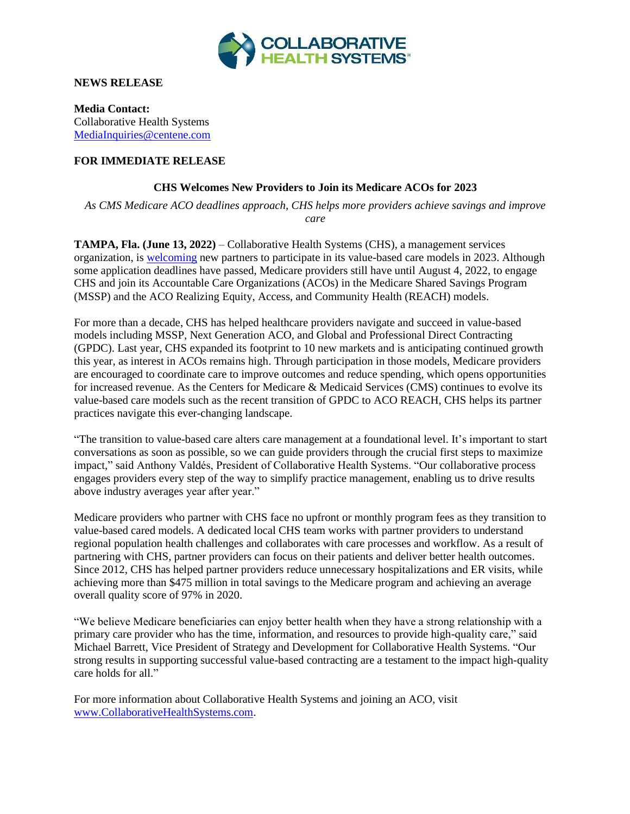

**NEWS RELEASE**

**Media Contact:** Collaborative Health Systems [MediaInquiries@centene.com](mailto:mediainquiries@centene.com)

## **FOR IMMEDIATE RELEASE**

## **CHS Welcomes New Providers to Join its Medicare ACOs for 2023**

*As CMS Medicare ACO deadlines approach, CHS helps more providers achieve savings and improve care*

**TAMPA, Fla. (June 13, 2022)** – Collaborative Health Systems (CHS), a management services organization, is [welcoming](https://www.collaborativehealthsystems.com/#prefooter-form) new partners to participate in its value-based care models in 2023. Although some application deadlines have passed, Medicare providers still have until August 4, 2022, to engage CHS and join its Accountable Care Organizations (ACOs) in the Medicare Shared Savings Program (MSSP) and the ACO Realizing Equity, Access, and Community Health (REACH) models.

For more than a decade, CHS has helped healthcare providers navigate and succeed in value-based models including MSSP, Next Generation ACO, and Global and Professional Direct Contracting (GPDC). Last year, CHS expanded its footprint to 10 new markets and is anticipating continued growth this year, as interest in ACOs remains high. Through participation in those models, Medicare providers are encouraged to coordinate care to improve outcomes and reduce spending, which opens opportunities for increased revenue. As the Centers for Medicare & Medicaid Services (CMS) continues to evolve its value-based care models such as the recent transition of GPDC to ACO REACH, CHS helps its partner practices navigate this ever-changing landscape.

"The transition to value-based care alters care management at a foundational level. It's important to start conversations as soon as possible, so we can guide providers through the crucial first steps to maximize impact," said Anthony Valdés, President of Collaborative Health Systems. "Our collaborative process engages providers every step of the way to simplify practice management, enabling us to drive results above industry averages year after year."

Medicare providers who partner with CHS face no upfront or monthly program fees as they transition to value-based cared models. A dedicated local CHS team works with partner providers to understand regional population health challenges and collaborates with care processes and workflow. As a result of partnering with CHS, partner providers can focus on their patients and deliver better health outcomes. Since 2012, CHS has helped partner providers reduce unnecessary hospitalizations and ER visits, while achieving more than \$475 million in total savings to the Medicare program and achieving an average overall quality score of 97% in 2020.

"We believe Medicare beneficiaries can enjoy better health when they have a strong relationship with a primary care provider who has the time, information, and resources to provide high-quality care," said Michael Barrett, Vice President of Strategy and Development for Collaborative Health Systems. "Our strong results in supporting successful value-based contracting are a testament to the impact high-quality care holds for all."

For more information about Collaborative Health Systems and joining an ACO, visit [www.CollaborativeHealthSystems.com.](http://www.collaborativehealthsystems.com/)